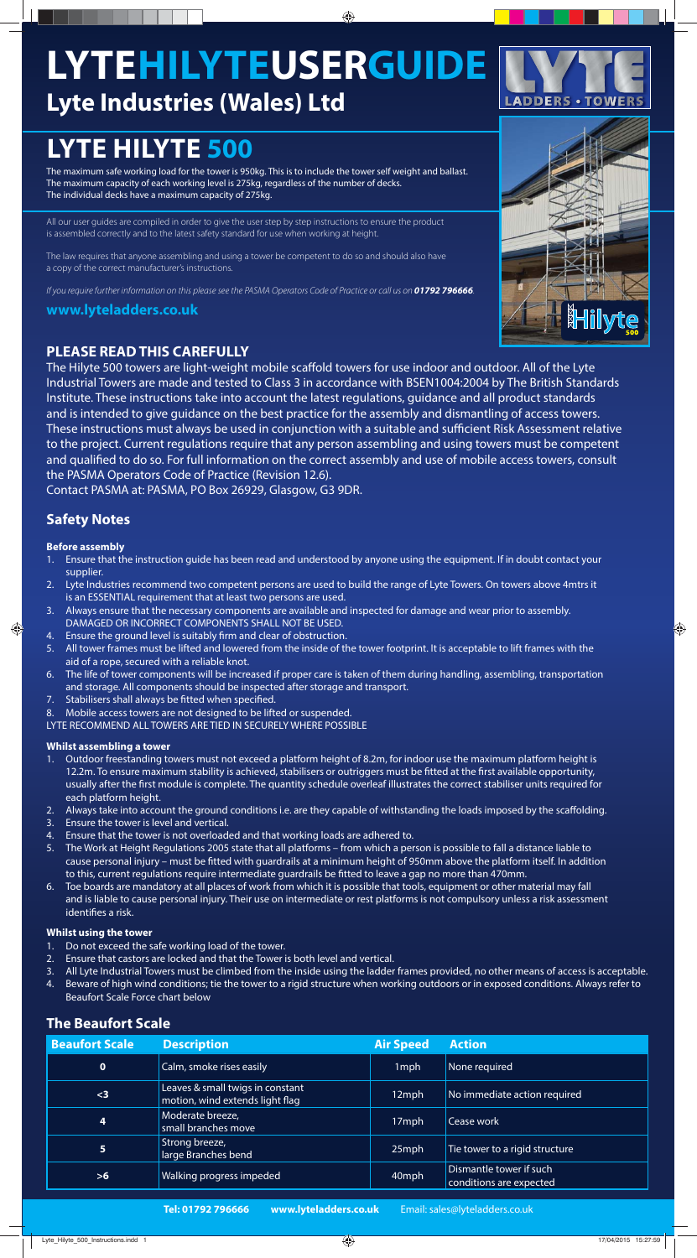# **LYTE HILYTE 500**

# **LYTEHILYTEUSERGUIDE Lyte Industries (Wales) Ltd**

◈

**www.lyteladders.co.uk** 



The maximum safe working load for the tower is 950kg. This is to include the tower self weight and ballast. The maximum capacity of each working level is 275kg, regardless of the number of decks. The individual decks have a maximum capacity of 275kg.

All our user guides are compiled in order to give the user step by step instructions to ensure the product is assembled correctly and to the latest safety standard for use when working at height.

The law requires that anyone assembling and using a tower be competent to do so and should also have a copy of the correct manufacturer's instructions.

If you require further information on this please see the PASMA Operators Code of Practice or call us on **01792 796666**.

The Hilyte 500 towers are light-weight mobile scaffold towers for use indoor and outdoor. All of the Lyte Industrial Towers are made and tested to Class 3 in accordance with BSEN1004:2004 by The British Standards Institute. These instructions take into account the latest regulations, guidance and all product standards and is intended to give guidance on the best practice for the assembly and dismantling of access towers. These instructions must always be used in conjunction with a suitable and sufficient Risk Assessment relative to the project. Current regulations require that any person assembling and using towers must be competent and qualified to do so. For full information on the correct assembly and use of mobile access towers, consult the PASMA Operators Code of Practice (Revision 12.6).

# **PLEASE READ THIS CAREFULLY**

Contact PASMA at: PASMA, PO Box 26929, Glasgow, G3 9DR.

- 1. Outdoor freestanding towers must not exceed a platform height of 8.2m, for indoor use the maximum platform height is 12.2m. To ensure maximum stability is achieved, stabilisers or outriggers must be fitted at the first available opportunity, usually after the first module is complete. The quantity schedule overleaf illustrates the correct stabiliser units required for each platform height.
- 2. Always take into account the ground conditions i.e. are they capable of withstanding the loads imposed by the scaffolding.
- 3. Ensure the tower is level and vertical.
- 4. Ensure that the tower is not overloaded and that working loads are adhered to.
- 5. The Work at Height Regulations 2005 state that all platforms from which a person is possible to fall a distance liable to cause personal injury – must be fitted with guardrails at a minimum height of 950mm above the platform itself. In addition to this, current regulations require intermediate guardrails be fitted to leave a gap no more than 470mm.
- 6. Toe boards are mandatory at all places of work from which it is possible that tools, equipment or other material may fall and is liable to cause personal injury. Their use on intermediate or rest platforms is not compulsory unless a risk assessment identifies a risk.

### **Before assembly**

⊕

- 1. Ensure that the instruction guide has been read and understood by anyone using the equipment. If in doubt contact your supplier.
- 2. Lyte Industries recommend two competent persons are used to build the range of Lyte Towers. On towers above 4mtrs it is an ESSENTIAL requirement that at least two persons are used.
- 3. Always ensure that the necessary components are available and inspected for damage and wear prior to assembly. DAMAGED OR INCORRECT COMPONENTS SHALL NOT BE USED.
- 4. Ensure the ground level is suitably firm and clear of obstruction.
- 5. All tower frames must be lifted and lowered from the inside of the tower footprint. It is acceptable to lift frames with the aid of a rope, secured with a reliable knot.
- 6. The life of tower components will be increased if proper care is taken of them during handling, assembling, transportation and storage. All components should be inspected after storage and transport.
- 7. Stabilisers shall always be fitted when specified.
- 8. Mobile access towers are not designed to be lifted or suspended.

LYTE RECOMMEND ALL TOWERS ARE TIED IN SECURELY WHERE POSSIBLE

**Tel: 01792 796666 www.lyteladders.co.uk** Email: sales@lyteladders.co.uk

| <b>Beaufort Scale</b>   | <b>Description</b>                                                  | <b>Air Speed</b> | <b>Action</b>                                      |
|-------------------------|---------------------------------------------------------------------|------------------|----------------------------------------------------|
| $\mathbf 0$             | Calm, smoke rises easily                                            | 1 <sub>mph</sub> | None required                                      |
| $3$                     | Leaves & small twigs in constant<br>motion, wind extends light flag | 12mph            | No immediate action required                       |
| $\overline{\mathbf{4}}$ | Moderate breeze,<br>small branches move                             | 17mph            | Cease work                                         |
| 5                       | Strong breeze,<br>large Branches bend                               | 25mph            | Tie tower to a rigid structure                     |
| >6                      | Walking progress impeded                                            | 40mph            | Dismantle tower if such<br>conditions are expected |

## **The Beaufort Scale**

### **Whilst assembling a tower**

#### **Whilst using the tower**

- 1. Do not exceed the safe working load of the tower.
- 
- 2. Ensure that castors are locked and that the Tower is both level and vertical.
- 3. All Lyte Industrial Towers must be climbed from the inside using the ladder frames provided, no other means of access is acceptable.
- 4. Beware of high wind conditions; tie the tower to a rigid structure when working outdoors or in exposed conditions. Always refer to Beaufort Scale Force chart below

# **Safety Notes**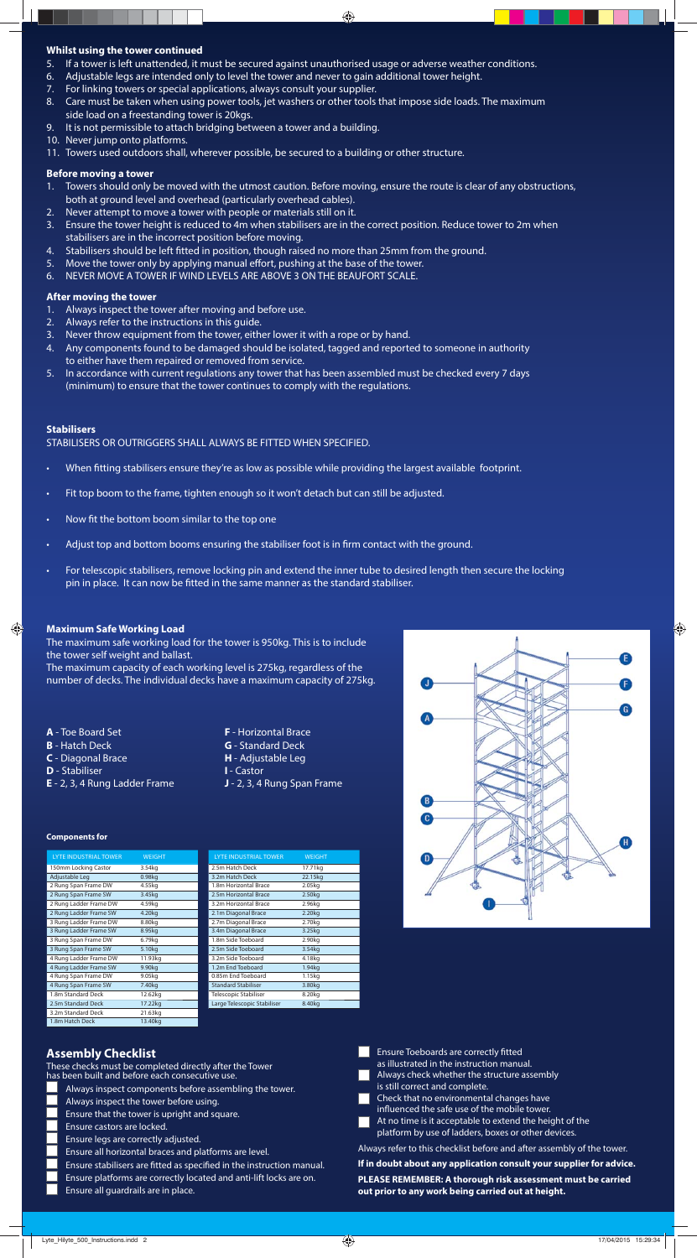#### ◈

#### **Whilst using the tower continued**

- 5. If a tower is left unattended, it must be secured against unauthorised usage or adverse weather conditions.
- 6. Adjustable legs are intended only to level the tower and never to gain additional tower height.
- 7. For linking towers or special applications, always consult your supplier.
- 8. Care must be taken when using power tools, jet washers or other tools that impose side loads. The maximum side load on a freestanding tower is 20kgs.
- 9. It is not permissible to attach bridging between a tower and a building.
- 10. Never jump onto platforms.
- 11. Towers used outdoors shall, wherever possible, be secured to a building or other structure.

#### **Stabilisers**

STABILISERS OR OUTRIGGERS SHALL ALWAYS BE FITTED WHEN SPECIFIED.

- When fitting stabilisers ensure they're as low as possible while providing the largest available footprint.
- Fit top boom to the frame, tighten enough so it won't detach but can still be adjusted.
- Now fit the bottom boom similar to the top one
- Adjust top and bottom booms ensuring the stabiliser foot is in firm contact with the ground.
- For telescopic stabilisers, remove locking pin and extend the inner tube to desired length then secure the locking pin in place. It can now be fitted in the same manner as the standard stabiliser.

- **A** Toe Board Set
- **B** Hatch Deck
- **C** Diagonal Brace
- **D** Stabiliser

⊕

- Always inspect components before assembling the tower. Always inspect the tower before using. Ensure that the tower is upright and square. Ensure castors are locked. 5. Ensure legs are correctly adjusted. 6. Ensure all horizontal braces and platforms are level. Ensure stabilisers are fitted as specified in the instruction manual. Ensure platforms are correctly located and anti-lift locks are on. 9. Ensure all guardrails are in place.
- $\Box$  Ensure Toeboards are correctly fitted as illustrated in the instruction manual. Always check whether the structure assembly is still correct and complete. Check that no environmental changes have influenced the safe use of the mobile tower. At no time is it acceptable to extend the height of the platform by use of ladders, boxes or other devices. Always refer to this checklist before and after assembly of the tower. **If in doubt about any application consult your supplier for advice. PLEASE REMEMBER: A thorough risk assessment must be carried out prior to any work being carried out at height.**
- **E** 2, 3, 4 Rung Ladder Frame
- **F** Horizontal Brace **G** - Standard Deck **H** - Adjustable Leg **I** - Castor **J** - 2, 3, 4 Rung Span Frame

## **Assembly Checklist**

These checks must be completed directly after the Tower has been built and before each consecutive use.

#### **Before moving a tower**

- 1. Towers should only be moved with the utmost caution. Before moving, ensure the route is clear of any obstructions, both at ground level and overhead (particularly overhead cables).
- 2. Never attempt to move a tower with people or materials still on it.
- 3. Ensure the tower height is reduced to 4m when stabilisers are in the correct position. Reduce tower to 2m when stabilisers are in the incorrect position before moving.
- 4. Stabilisers should be left fitted in position, though raised no more than 25mm from the ground.
- 5. Move the tower only by applying manual effort, pushing at the base of the tower.
- 6. NEVER MOVE A TOWER IF WIND LEVELS ARE ABOVE 3 ON THE BEAUFORT SCALE.

#### **After moving the tower**

- 1. Always inspect the tower after moving and before use.
- 2. Always refer to the instructions in this guide.
- 3. Never throw equipment from the tower, either lower it with a rope or by hand.
- 4. Any components found to be damaged should be isolated, tagged and reported to someone in authority to either have them repaired or removed from service.
- 5. In accordance with current regulations any tower that has been assembled must be checked every 7 days (minimum) to ensure that the tower continues to comply with the regulations.

#### **Maximum Safe Working Load**

The maximum safe working load for the tower is 950kg. This is to include the tower self weight and ballast.

The maximum capacity of each working level is 275kg, regardless of the number of decks. The individual decks have a maximum capacity of 275kg.

| <b>LYTE INDUSTRIAL TOWER</b> | <b>WEIGHT</b>      |  |
|------------------------------|--------------------|--|
| 150mm Locking Castor         | 3.54kg             |  |
| Adjustable Leg               | 0.98kg             |  |
| 2 Rung Span Frame DW         | 4.55kg             |  |
| 2 Rung Span Frame SW         | 3.45kg             |  |
| 2 Rung Ladder Frame DW       | 4.59kg             |  |
| 2 Rung Ladder Frame SW       | 4.20kg             |  |
| 3 Rung Ladder Frame DW       | 8.80kg             |  |
| 3 Rung Ladder Frame SW       | 8.95kg             |  |
| 3 Rung Span Frame DW         | 6.79kg             |  |
| 3 Rung Span Frame SW         | 5.10 <sub>kg</sub> |  |

| 4 Rung Ladder Frame DW | 11.93kg            | 3.2m Side Toeboard           |
|------------------------|--------------------|------------------------------|
| 4 Rung Ladder Frame SW | 9.90kg             | 1.2m End Toeboard            |
| 4 Rung Span Frame DW   | 9.05kg             | 0.85m End Toeboard           |
| 4 Rung Span Frame SW   | 7.40 <sub>kg</sub> | <b>Standard Stabiliser</b>   |
| 1.8m Standard Deck     | 12.62kg            | <b>Telescopic Stabiliser</b> |
| 2.5m Standard Deck     | 17.22kg            | Large Telescopic Stabil      |
| 3.2m Standard Deck     | 21.63kg            |                              |
| 1.8m Hatch Deck        | 13.40kg            |                              |

| <b>LYTE INDUSTRIAL TOWER</b> | <b>WEIGHT</b>      |  |
|------------------------------|--------------------|--|
| 2.5m Hatch Deck              | 17.71kg            |  |
| 3.2m Hatch Deck              | 22.15kg            |  |
| 1.8m Horizontal Brace        | 2.05kg             |  |
| 2.5m Horizontal Brace        | 2.50kg             |  |
| 3.2m Horizontal Brace        | 2.96kg             |  |
| 2.1m Diagonal Brace          | 2.20 <sub>kg</sub> |  |
| 2.7m Diagonal Brace          | 2.70kg             |  |
| 3.4m Diagonal Brace          | 3.25kg             |  |
| 1.8m Side Toeboard           | 2.90kg             |  |
| 2.5m Side Toeboard           | 3.54kg             |  |



| 3.2m Side Toeboard           | 4.18kg             |
|------------------------------|--------------------|
| 1.2m End Toeboard            | 1.94ka             |
| 0.85m End Toeboard           | 1.15kg             |
| <b>Standard Stabiliser</b>   | 3.80kg             |
| <b>Telescopic Stabiliser</b> | 8.20kg             |
| Large Telescopic Stabiliser  | 8.40 <sub>kg</sub> |
|                              |                    |

#### **Components for**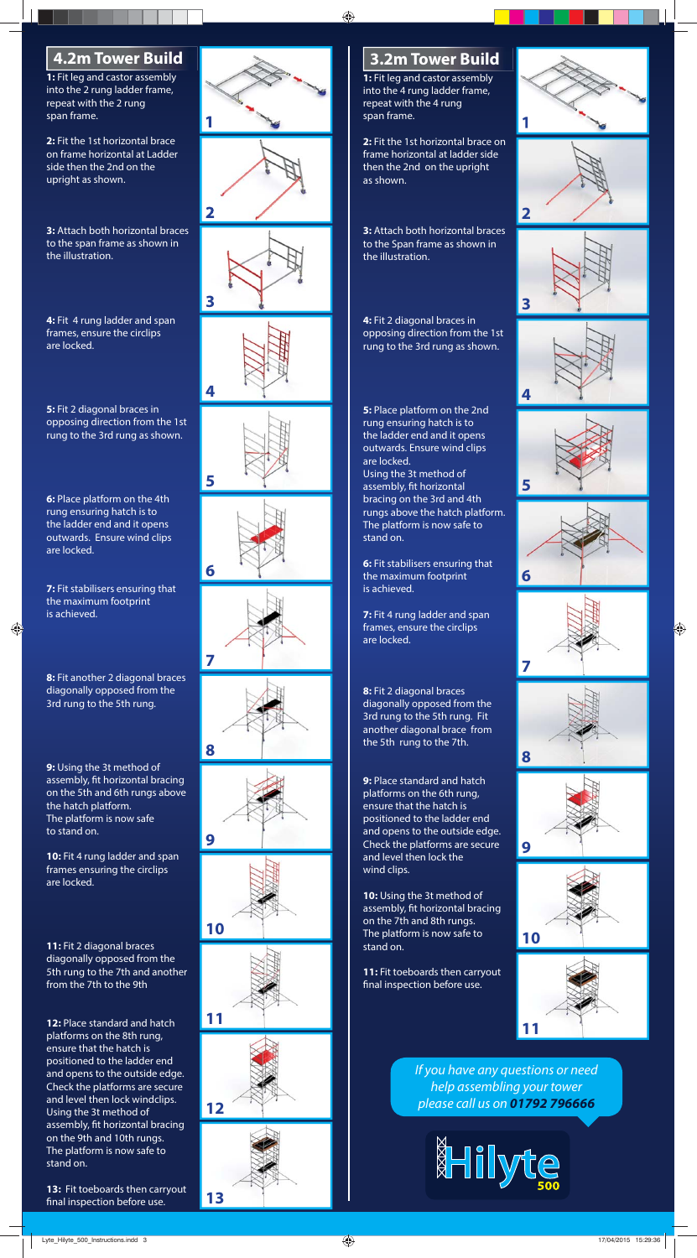**1:** Fit leg and castor assembly into the 2 rung ladder frame, repeat with the 2 rung span frame.

**2:** Fit the 1st horizontal brace on frame horizontal at Ladder side then the 2nd on the upright as shown.

**3:** Attach both horizontal braces to the span frame as shown in the illustration.

**4:** Fit 4 rung ladder and span frames, ensure the circlips are locked.

**5:** Fit 2 diagonal braces in opposing direction from the 1st rung to the 3rd rung as shown.

**6:** Place platform on the 4th rung ensuring hatch is to the ladder end and it opens outwards. Ensure wind clips are locked.

**7:** Fit stabilisers ensuring that the maximum footprint is achieved.

⊕

**8:** Fit another 2 diagonal braces diagonally opposed from the 3rd rung to the 5th rung.

**13:** Fit toeboards then carryout final inspection before use.

**9:** Using the 3t method of assembly, fit horizontal bracing on the 5th and 6th rungs above the hatch platform. The platform is now safe to stand on.

**10:** Fit 4 rung ladder and span frames ensuring the circlips are locked.

**11:** Fit 2 diagonal braces diagonally opposed from the 5th rung to the 7th and another from the 7th to the 9th

**9:** Place standard and hatch platforms on the 6th rung, ensure that the hatch is positioned to the ladder end and opens to the outside edge. Check the platforms are secure and level then lock the wind clips.

**12:** Place standard and hatch platforms on the 8th rung, ensure that the hatch is positioned to the ladder end and opens to the outside edge. Check the platforms are secure and level then lock windclips. Using the 3t method of assembly, fit horizontal bracing on the 9th and 10th rungs. The platform is now safe to stand on.

**11:** Fit toeboards then carryout final inspection before use.

**1:** Fit leg and castor assembly into the 4 rung ladder frame, repeat with the 4 rung span frame.

**2:** Fit the 1st horizontal brace on frame horizontal at ladder side then the 2nd on the upright as shown.

**3:** Attach both horizontal braces to the Span frame as shown in the illustration.

**4:** Fit 2 diagonal braces in opposing direction from the 1st rung to the 3rd rung as shown.

**5:** Place platform on the 2nd rung ensuring hatch is to the ladder end and it opens outwards. Ensure wind clips are locked. Using the 3t method of assembly, fit horizontal bracing on the 3rd and 4th rungs above the hatch platform. The platform is now safe to stand on.

**6:** Fit stabilisers ensuring that the maximum footprint is achieved.

**7:** Fit 4 rung ladder and span frames, ensure the circlips are locked.

**8:** Fit 2 diagonal braces diagonally opposed from the 3rd rung to the 5th rung. Fit another diagonal brace from the 5th rung to the 7th.

**10:** Using the 3t method of assembly, fit horizontal bracing on the 7th and 8th rungs. The platform is now safe to stand on.





If you have any questions or need help assembling your tower please call us on **01792 796666**